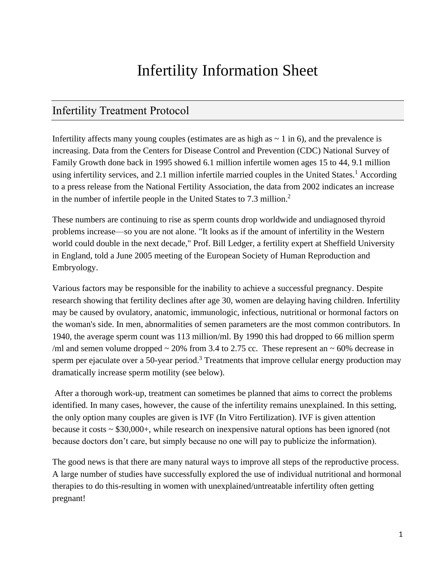# Infertility Information Sheet

## Infertility Treatment Protocol

Infertility affects many young couples (estimates are as high as  $\sim$  1 in 6), and the prevalence is increasing. Data from the Centers for Disease Control and Prevention (CDC) National Survey of Family Growth done back in 1995 showed 6.1 million infertile women ages 15 to 44, 9.1 million using infertility services, and 2.1 million infertile married couples in the United States.<sup>1</sup> According to a press release from the National Fertility Association, the data from 2002 indicates an increase in the number of infertile people in the United States to 7.3 million. 2

These numbers are continuing to rise as sperm counts drop worldwide and undiagnosed thyroid problems increase—so you are not alone. "It looks as if the amount of infertility in the Western world could double in the next decade," Prof. Bill Ledger, a fertility expert at Sheffield University in England, told a June 2005 meeting of the European Society of Human Reproduction and Embryology.

Various factors may be responsible for the inability to achieve a successful pregnancy. Despite research showing that fertility declines after age 30, women are delaying having children. Infertility may be caused by ovulatory, anatomic, immunologic, infectious, nutritional or hormonal factors on the woman's side. In men, abnormalities of semen parameters are the most common contributors. In 1940, the average sperm count was 113 million/ml. By 1990 this had dropped to 66 million sperm /ml and semen volume dropped  $\sim$  20% from 3.4 to 2.75 cc. These represent an  $\sim$  60% decrease in sperm per ejaculate over a 50-year period.<sup>3</sup> Treatments that improve cellular energy production may dramatically increase sperm motility (see below).

After a thorough work-up, treatment can sometimes be planned that aims to correct the problems identified. In many cases, however, the cause of the infertility remains unexplained. In this setting, the only option many couples are given is IVF (In Vitro Fertilization). IVF is given attention because it costs ~ \$30,000+, while research on inexpensive natural options has been ignored (not because doctors don't care, but simply because no one will pay to publicize the information).

The good news is that there are many natural ways to improve all steps of the reproductive process. A large number of studies have successfully explored the use of individual nutritional and hormonal therapies to do this-resulting in women with unexplained/untreatable infertility often getting pregnant!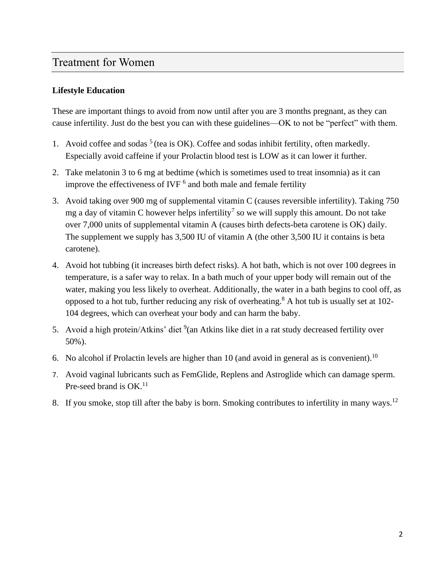## Treatment for Women

#### **Lifestyle Education**

These are important things to avoid from now until after you are 3 months pregnant, as they can cause infertility. Just do the best you can with these guidelines—OK to not be "perfect" with them.

- 1. Avoid coffee and sodas  $<sup>5</sup>$  (tea is OK). Coffee and sodas inhibit fertility, often markedly.</sup> Especially avoid caffeine if your Prolactin blood test is LOW as it can lower it further.
- 2. Take melatonin 3 to 6 mg at bedtime (which is sometimes used to treat insomnia) as it can improve the effectiveness of IVF  $<sup>6</sup>$  and both male and female fertility</sup>
- 3. Avoid taking over 900 mg of supplemental vitamin C (causes reversible infertility). Taking 750 mg a day of vitamin C however helps infertility<sup>7</sup> so we will supply this amount. Do not take over 7,000 units of supplemental vitamin A (causes birth defects-beta carotene is OK) daily. The supplement we supply has 3,500 IU of vitamin A (the other 3,500 IU it contains is beta carotene).
- 4. Avoid hot tubbing (it increases birth defect risks). A hot bath, which is not over 100 degrees in temperature, is a safer way to relax. In a bath much of your upper body will remain out of the water, making you less likely to overheat. Additionally, the water in a bath begins to cool off, as opposed to a hot tub, further reducing any risk of overheating.<sup>8</sup> A hot tub is usually set at 102-104 degrees, which can overheat your body and can harm the baby.
- 5. Avoid a high protein/Atkins' diet  $9$  (an Atkins like diet in a rat study decreased fertility over 50%).
- 6. No alcohol if Prolactin levels are higher than 10 (and avoid in general as is convenient).<sup>10</sup>
- 7. Avoid vaginal lubricants such as FemGlide, Replens and Astroglide which can damage sperm. Pre-seed brand is  $OK.^{11}$
- 8. If you smoke, stop till after the baby is born. Smoking contributes to infertility in many ways.<sup>12</sup>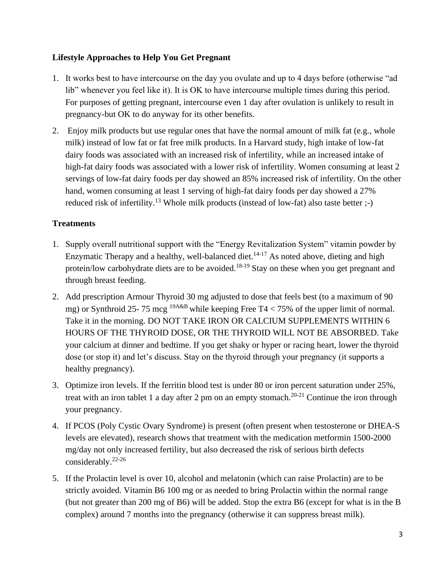#### **Lifestyle Approaches to Help You Get Pregnant**

- 1. It works best to have intercourse on the day you ovulate and up to 4 days before (otherwise "ad lib" whenever you feel like it). It is OK to have intercourse multiple times during this period. For purposes of getting pregnant, intercourse even 1 day after ovulation is unlikely to result in pregnancy-but OK to do anyway for its other benefits.
- 2. Enjoy milk products but use regular ones that have the normal amount of milk fat (e.g., whole milk) instead of low fat or fat free milk products. In a Harvard study, high intake of low-fat dairy foods was associated with an increased risk of infertility, while an increased intake of high-fat dairy foods was associated with a lower risk of infertility. Women consuming at least 2 servings of low-fat dairy foods per day showed an 85% increased risk of infertility. On the other hand, women consuming at least 1 serving of high-fat dairy foods per day showed a 27% reduced risk of infertility.<sup>13</sup> Whole milk products (instead of low-fat) also taste better  $;-$ )

## **Treatments**

- 1. Supply overall nutritional support with the "Energy Revitalization System" vitamin powder by Enzymatic Therapy and a healthy, well-balanced diet.<sup>14-17</sup> As noted above, dieting and high protein/low carbohydrate diets are to be avoided.<sup>18-19</sup> Stay on these when you get pregnant and through breast feeding.
- 2. Add prescription Armour Thyroid 30 mg adjusted to dose that feels best (to a maximum of 90 mg) or Synthroid 25- 75 mcg <sup>19A&B</sup> while keeping Free T4 < 75% of the upper limit of normal. Take it in the morning. DO NOT TAKE IRON OR CALCIUM SUPPLEMENTS WITHIN 6 HOURS OF THE THYROID DOSE, OR THE THYROID WILL NOT BE ABSORBED. Take your calcium at dinner and bedtime. If you get shaky or hyper or racing heart, lower the thyroid dose (or stop it) and let's discuss. Stay on the thyroid through your pregnancy (it supports a healthy pregnancy).
- 3. Optimize iron levels. If the ferritin blood test is under 80 or iron percent saturation under 25%, treat with an iron tablet 1 a day after 2 pm on an empty stomach.<sup>20-21</sup> Continue the iron through your pregnancy.
- 4. If PCOS (Poly Cystic Ovary Syndrome) is present (often present when testosterone or DHEA-S levels are elevated), research shows that treatment with the medication metformin 1500-2000 mg/day not only increased fertility, but also decreased the risk of serious birth defects considerably.22-26
- 5. If the Prolactin level is over 10, alcohol and melatonin (which can raise Prolactin) are to be strictly avoided. Vitamin B6 100 mg or as needed to bring Prolactin within the normal range (but not greater than 200 mg of B6) will be added. Stop the extra B6 (except for what is in the B complex) around 7 months into the pregnancy (otherwise it can suppress breast milk).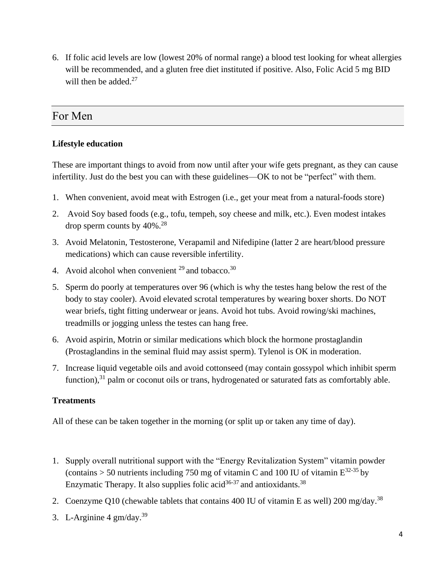6. If folic acid levels are low (lowest 20% of normal range) a blood test looking for wheat allergies will be recommended, and a gluten free diet instituted if positive. Also, Folic Acid 5 mg BID will then be added. $27$ 

## For Men

### **Lifestyle education**

These are important things to avoid from now until after your wife gets pregnant, as they can cause infertility. Just do the best you can with these guidelines—OK to not be "perfect" with them.

- 1. When convenient, avoid meat with Estrogen (i.e., get your meat from a natural-foods store)
- 2. Avoid Soy based foods (e.g., tofu, tempeh, soy cheese and milk, etc.). Even modest intakes drop sperm counts by 40%. 28
- 3. Avoid Melatonin, Testosterone, Verapamil and Nifedipine (latter 2 are heart/blood pressure medications) which can cause reversible infertility.
- 4. Avoid alcohol when convenient  $^{29}$  and tobacco.<sup>30</sup>
- 5. Sperm do poorly at temperatures over 96 (which is why the testes hang below the rest of the body to stay cooler). Avoid elevated scrotal temperatures by wearing boxer shorts. Do NOT wear briefs, tight fitting underwear or jeans. Avoid hot tubs. Avoid rowing/ski machines, treadmills or jogging unless the testes can hang free.
- 6. Avoid aspirin, Motrin or similar medications which block the hormone prostaglandin (Prostaglandins in the seminal fluid may assist sperm). Tylenol is OK in moderation.
- 7. Increase liquid vegetable oils and avoid cottonseed (may contain gossypol which inhibit sperm function),<sup>31</sup> palm or coconut oils or trans, hydrogenated or saturated fats as comfortably able.

#### **Treatments**

All of these can be taken together in the morning (or split up or taken any time of day).

- 1. Supply overall nutritional support with the "Energy Revitalization System" vitamin powder (contains  $> 50$  nutrients including 750 mg of vitamin C and 100 IU of vitamin  $E^{32-35}$  by Enzymatic Therapy. It also supplies folic acid  $36-37$  and antioxidants.  $38$
- 2. Coenzyme Q10 (chewable tablets that contains 400 IU of vitamin E as well) 200 mg/day.<sup>38</sup>
- 3. L-Arginine  $4 \text{ gm/day.}^{39}$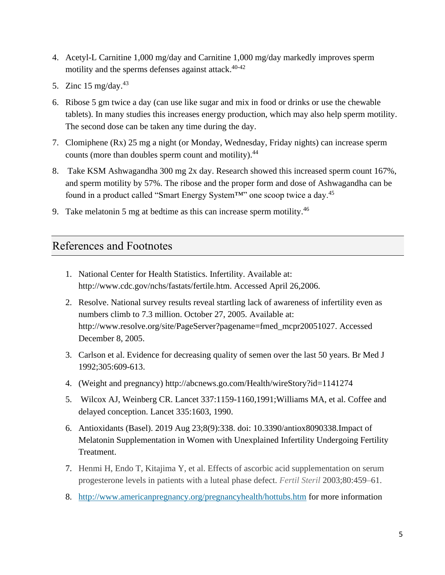- 4. Acetyl-L Carnitine 1,000 mg/day and Carnitine 1,000 mg/day markedly improves sperm motility and the sperms defenses against attack. 40-42
- 5. Zinc  $15 \text{ mg/day}$ .<sup>43</sup>
- 6. Ribose 5 gm twice a day (can use like sugar and mix in food or drinks or use the chewable tablets). In many studies this increases energy production, which may also help sperm motility. The second dose can be taken any time during the day.
- 7. Clomiphene (Rx) 25 mg a night (or Monday, Wednesday, Friday nights) can increase sperm counts (more than doubles sperm count and motility).<sup>44</sup>
- 8. Take KSM Ashwagandha 300 mg 2x day. Research showed this increased sperm count 167%, and sperm motility by 57%. The ribose and the proper form and dose of Ashwagandha can be found in a product called "Smart Energy System<sup>TM"</sup> one scoop twice a day.<sup>45</sup>
- 9. Take melatonin 5 mg at bedtime as this can increase sperm motility.<sup>46</sup>

# References and Footnotes

- 1. National Center for Health Statistics. Infertility. Available at: http://www.cdc.gov/nchs/fastats/fertile.htm. Accessed April 26,2006.
- 2. Resolve. National survey results reveal startling lack of awareness of infertility even as numbers climb to 7.3 million. October 27, 2005. Available at: http://www.resolve.org/site/PageServer?pagename=fmed\_mcpr20051027. Accessed December 8, 2005.
- 3. Carlson et al. Evidence for decreasing quality of semen over the last 50 years. Br Med J 1992;305:609-613.
- 4. (Weight and pregnancy) http://abcnews.go.com/Health/wireStory?id=1141274
- 5. Wilcox AJ, Weinberg CR. Lancet 337:1159-1160,1991;Williams MA, et al. Coffee and delayed conception. Lancet 335:1603, 1990.
- 6. Antioxidants (Basel). 2019 Aug 23;8(9):338. doi: 10.3390/antiox8090338.Impact of Melatonin Supplementation in Women with Unexplained Infertility Undergoing Fertility Treatment.
- 7. Henmi H, Endo T, Kitajima Y, et al. Effects of ascorbic acid supplementation on serum progesterone levels in patients with a luteal phase defect. *Fertil Steril* 2003;80:459–61.
- 8. <http://www.americanpregnancy.org/pregnancyhealth/hottubs.htm> for more information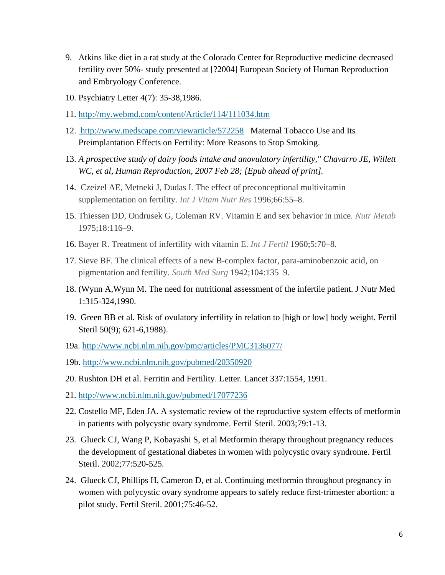- 9. Atkins like diet in a rat study at the Colorado Center for Reproductive medicine decreased fertility over 50%- study presented at [?2004] European Society of Human Reproduction and Embryology Conference.
- 10. Psychiatry Letter 4(7): 35-38,1986.
- 11. <http://my.webmd.com/content/Article/114/111034.htm>
- 12. <http://www.medscape.com/viewarticle/572258>Maternal Tobacco Use and Its Preimplantation Effects on Fertility: More Reasons to Stop Smoking.
- 13. *A prospective study of dairy foods intake and anovulatory infertility," Chavarro JE, Willett WC, et al, Human Reproduction, 2007 Feb 28; [Epub ahead of print].*
- 14. Czeizel AE, Metneki J, Dudas I. The effect of preconceptional multivitamin supplementation on fertility. *Int J Vitam Nutr Res* 1996;66:55–8.
- 15. Thiessen DD, Ondrusek G, Coleman RV. Vitamin E and sex behavior in mice. *Nutr Metab* 1975;18:116–9.
- 16. Bayer R. Treatment of infertility with vitamin E. *Int J Fertil* 1960;5:70–8.
- 17. Sieve BF. The clinical effects of a new B-complex factor, para-aminobenzoic acid, on pigmentation and fertility. *South Med Surg* 1942;104:135–9.
- 18. (Wynn A,Wynn M. The need for nutritional assessment of the infertile patient. J Nutr Med 1:315-324,1990.
- 19. Green BB et al. Risk of ovulatory infertility in relation to [high or low] body weight. Fertil Steril 50(9); 621-6,1988).
- 19a. <http://www.ncbi.nlm.nih.gov/pmc/articles/PMC3136077/>
- 19b.<http://www.ncbi.nlm.nih.gov/pubmed/20350920>
- 20. Rushton DH et al. Ferritin and Fertility. Letter. Lancet 337:1554, 1991.
- 21. <http://www.ncbi.nlm.nih.gov/pubmed/17077236>
- 22. Costello MF, Eden JA. A systematic review of the reproductive system effects of metformin in patients with polycystic ovary syndrome. Fertil Steril. 2003;79:1-13.
- 23. Glueck CJ, Wang P, Kobayashi S, et al Metformin therapy throughout pregnancy reduces the development of gestational diabetes in women with polycystic ovary syndrome. Fertil Steril. 2002;77:520-525.
- 24. Glueck CJ, Phillips H, Cameron D, et al. Continuing metformin throughout pregnancy in women with polycystic ovary syndrome appears to safely reduce first-trimester abortion: a pilot study. Fertil Steril. 2001;75:46-52.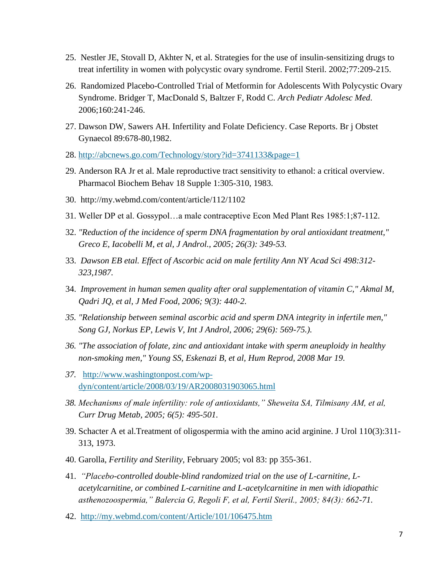- 25. Nestler JE, Stovall D, Akhter N, et al. Strategies for the use of insulin-sensitizing drugs to treat infertility in women with polycystic ovary syndrome. Fertil Steril. 2002;77:209-215.
- 26. Randomized Placebo-Controlled Trial of Metformin for Adolescents With Polycystic Ovary Syndrome. Bridger T, MacDonald S, Baltzer F, Rodd C. *Arch Pediatr Adolesc Med*. 2006;160:241-246.
- 27. Dawson DW, Sawers AH. Infertility and Folate Deficiency. Case Reports. Br j Obstet Gynaecol 89:678-80,1982.
- 28. <http://abcnews.go.com/Technology/story?id=3741133&page=1>
- 29. Anderson RA Jr et al. Male reproductive tract sensitivity to ethanol: a critical overview. Pharmacol Biochem Behav 18 Supple 1:305-310, 1983.
- 30. http://my.webmd.com/content/article/112/1102
- 31. Weller DP et al. Gossypol…a male contraceptive Econ Med Plant Res 1985:1;87-112.
- 32. *"Reduction of the incidence of sperm DNA fragmentation by oral antioxidant treatment," Greco E, Iacobelli M, et al, J Androl., 2005; 26(3): 349-53.*
- 33. *Dawson EB etal. Effect of Ascorbic acid on male fertility Ann NY Acad Sci 498:312- 323,1987.*
- 34. *Improvement in human semen quality after oral supplementation of vitamin C," Akmal M, Qadri JQ, et al, J Med Food, 2006; 9(3): 440-2.*
- *35. "Relationship between seminal ascorbic acid and sperm DNA integrity in infertile men," Song GJ, Norkus EP, Lewis V, Int J Androl, 2006; 29(6): 569-75.).*
- *36. "The association of folate, zinc and antioxidant intake with sperm aneuploidy in healthy non-smoking men," Young SS, Eskenazi B, et al, Hum Reprod, 2008 Mar 19.*
- *37.* [http://www.washingtonpost.com/wp](http://www.washingtonpost.com/wp-dyn/content/article/2008/03/19/AR2008031903065.html)[dyn/content/article/2008/03/19/AR2008031903065.html](http://www.washingtonpost.com/wp-dyn/content/article/2008/03/19/AR2008031903065.html)
- *38. Mechanisms of male infertility: role of antioxidants," Sheweita SA, Tilmisany AM, et al, Curr Drug Metab, 2005; 6(5): 495-501.*
- 39. Schacter A et al.Treatment of oligospermia with the amino acid arginine. J Urol 110(3):311- 313, 1973.
- 40. Garolla, *Fertility and Sterility*, February 2005; vol 83: pp 355-361.
- 41. *"Placebo-controlled double-blind randomized trial on the use of L-carnitine, Lacetylcarnitine, or combined L-carnitine and L-acetylcarnitine in men with idiopathic asthenozoospermia," Balercia G, Regoli F, et al, Fertil Steril., 2005; 84(3): 662-71.*
- 42. <http://my.webmd.com/content/Article/101/106475.htm>